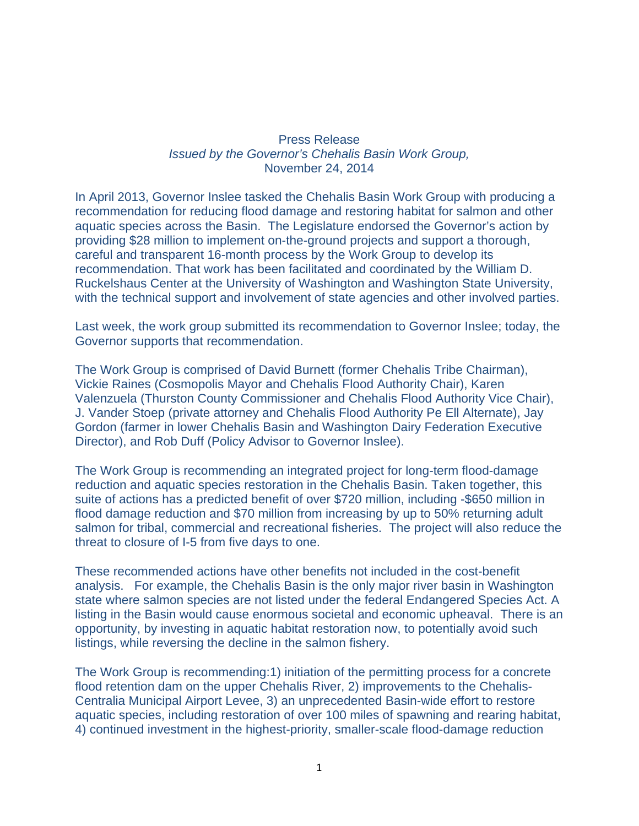## Press Release *Issued by the Governor's Chehalis Basin Work Group,*  November 24, 2014

In April 2013, Governor Inslee tasked the Chehalis Basin Work Group with producing a recommendation for reducing flood damage and restoring habitat for salmon and other aquatic species across the Basin. The Legislature endorsed the Governor's action by providing \$28 million to implement on-the-ground projects and support a thorough, careful and transparent 16-month process by the Work Group to develop its recommendation. That work has been facilitated and coordinated by the William D. Ruckelshaus Center at the University of Washington and Washington State University, with the technical support and involvement of state agencies and other involved parties.

Last week, the work group submitted its recommendation to Governor Inslee; today, the Governor supports that recommendation.

The Work Group is comprised of David Burnett (former Chehalis Tribe Chairman), Vickie Raines (Cosmopolis Mayor and Chehalis Flood Authority Chair), Karen Valenzuela (Thurston County Commissioner and Chehalis Flood Authority Vice Chair), J. Vander Stoep (private attorney and Chehalis Flood Authority Pe Ell Alternate), Jay Gordon (farmer in lower Chehalis Basin and Washington Dairy Federation Executive Director), and Rob Duff (Policy Advisor to Governor Inslee).

The Work Group is recommending an integrated project for long-term flood-damage reduction and aquatic species restoration in the Chehalis Basin. Taken together, this suite of actions has a predicted benefit of over \$720 million, including -\$650 million in flood damage reduction and \$70 million from increasing by up to 50% returning adult salmon for tribal, commercial and recreational fisheries. The project will also reduce the threat to closure of I-5 from five days to one.

These recommended actions have other benefits not included in the cost-benefit analysis. For example, the Chehalis Basin is the only major river basin in Washington state where salmon species are not listed under the federal Endangered Species Act. A listing in the Basin would cause enormous societal and economic upheaval. There is an opportunity, by investing in aquatic habitat restoration now, to potentially avoid such listings, while reversing the decline in the salmon fishery.

The Work Group is recommending:1) initiation of the permitting process for a concrete flood retention dam on the upper Chehalis River, 2) improvements to the Chehalis-Centralia Municipal Airport Levee, 3) an unprecedented Basin-wide effort to restore aquatic species, including restoration of over 100 miles of spawning and rearing habitat, 4) continued investment in the highest-priority, smaller-scale flood-damage reduction